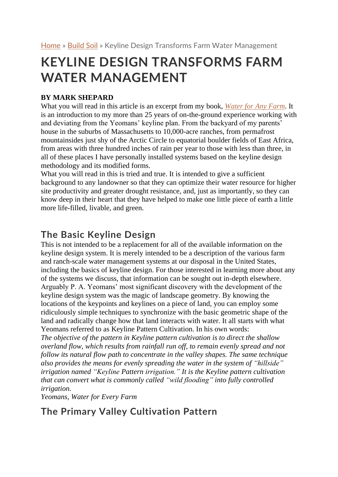# **KEYLINE DESIGN TRANSFORMS FARM WATER MANAGEMENT**

#### **BY MARK SHEPARD**

What you will read in this article is an excerpt from my book, *[Water](https://bookstore.acresusa.com/products/water-for-any-farm?utm_source=EFD&utm_medium=article&utm_campaign=book-promo-mark-shepard&utm_content=book-excerpt-article) for Any Farm*. It is an introduction to my more than 25 years of on-the-ground experience working with and deviating from the Yeomans' keyline plan. From the backyard of my parents' house in the suburbs of Massachusetts to 10,000-acre ranches, from permafrost mountainsides just shy of the Arctic Circle to equatorial boulder fields of East Africa, from areas with three hundred inches of rain per year to those with less than three, in all of these places I have personally installed systems based on the keyline design methodology and its modified forms.

What you will read in this is tried and true. It is intended to give a sufficient background to any landowner so that they can optimize their water resource for higher site productivity and greater drought resistance, and, just as importantly, so they can know deep in their heart that they have helped to make one little piece of earth a little more life-filled, livable, and green.

### **The Basic Keyline Design**

This is not intended to be a replacement for all of the available information on the keyline design system. It is merely intended to be a description of the various farm and ranch-scale water management systems at our disposal in the United States, including the basics of keyline design. For those interested in learning more about any of the systems we discuss, that information can be sought out in-depth elsewhere. Arguably P. A. Yeomans' most significant discovery with the development of the keyline design system was the magic of landscape geometry. By knowing the locations of the keypoints and keylines on a piece of land, you can employ some ridiculously simple techniques to synchronize with the basic geometric shape of the land and radically change how that land interacts with water. It all starts with what Yeomans referred to as Keyline Pattern Cultivation. In his own words:

*The objective of the pattern in Keyline pattern cultivation is to direct the shallow overland flow, which results from rainfall run off, to remain evenly spread and not follow its natural flow path to concentrate in the valley shapes. The same technique also provides the means for evenly spreading the water in the system of "hillside" irrigation named "Keyline Pattern irrigation." It is the Keyline pattern cultivation that can convert what is commonly called "wild flooding" into fully controlled irrigation.*

*Yeomans, Water for Every Farm*

## **The Primary Valley Cultivation Pattern**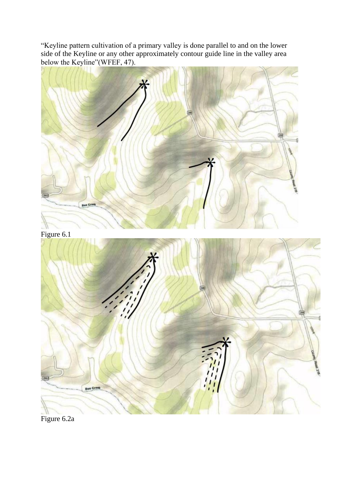"Keyline pattern cultivation of a primary valley is done parallel to and on the lower side of the Keyline or any other approximately contour guide line in the valley area below the Keyline"(WFEF, 47).



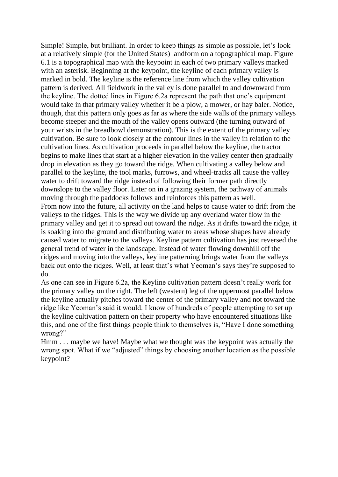Simple! Simple, but brilliant. In order to keep things as simple as possible, let's look at a relatively simple (for the United States) landform on a topographical map. Figure 6.1 is a topographical map with the keypoint in each of two primary valleys marked with an asterisk. Beginning at the keypoint, the keyline of each primary valley is marked in bold. The keyline is the reference line from which the valley cultivation pattern is derived. All fieldwork in the valley is done parallel to and downward from the keyline. The dotted lines in Figure 6.2a represent the path that one's equipment would take in that primary valley whether it be a plow, a mower, or hay baler. Notice, though, that this pattern only goes as far as where the side walls of the primary valleys become steeper and the mouth of the valley opens outward (the turning outward of your wrists in the breadbowl demonstration). This is the extent of the primary valley cultivation. Be sure to look closely at the contour lines in the valley in relation to the cultivation lines. As cultivation proceeds in parallel below the keyline, the tractor begins to make lines that start at a higher elevation in the valley center then gradually drop in elevation as they go toward the ridge. When cultivating a valley below and parallel to the keyline, the tool marks, furrows, and wheel-tracks all cause the valley water to drift toward the ridge instead of following their former path directly downslope to the valley floor. Later on in a grazing system, the pathway of animals moving through the paddocks follows and reinforces this pattern as well. From now into the future, all activity on the land helps to cause water to drift from the valleys to the ridges. This is the way we divide up any overland water flow in the primary valley and get it to spread out toward the ridge. As it drifts toward the ridge, it is soaking into the ground and distributing water to areas whose shapes have already caused water to migrate to the valleys. Keyline pattern cultivation has just reversed the general trend of water in the landscape. Instead of water flowing downhill off the ridges and moving into the valleys, keyline patterning brings water from the valleys back out onto the ridges. Well, at least that's what Yeoman's says they're supposed to do.

As one can see in Figure 6.2a, the Keyline cultivation pattern doesn't really work for the primary valley on the right. The left (western) leg of the uppermost parallel below the keyline actually pitches toward the center of the primary valley and not toward the ridge like Yeoman's said it would. I know of hundreds of people attempting to set up the keyline cultivation pattern on their property who have encountered situations like this, and one of the first things people think to themselves is, "Have I done something wrong?"

Hmm . . . maybe we have! Maybe what we thought was the keypoint was actually the wrong spot. What if we "adjusted" things by choosing another location as the possible keypoint?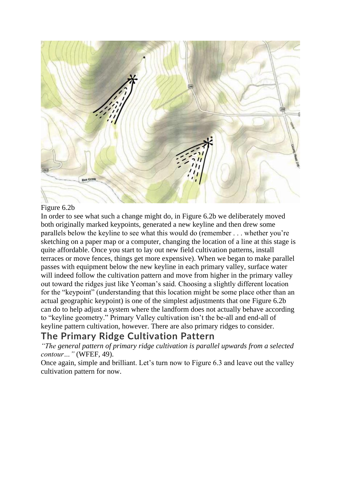

#### Figure 6.2b

In order to see what such a change might do, in Figure 6.2b we deliberately moved both originally marked keypoints, generated a new keyline and then drew some parallels below the keyline to see what this would do (remember . . . whether you're sketching on a paper map or a computer, changing the location of a line at this stage is quite affordable. Once you start to lay out new field cultivation patterns, install terraces or move fences, things get more expensive). When we began to make parallel passes with equipment below the new keyline in each primary valley, surface water will indeed follow the cultivation pattern and move from higher in the primary valley out toward the ridges just like Yeoman's said. Choosing a slightly different location for the "keypoint" (understanding that this location might be some place other than an actual geographic keypoint) is one of the simplest adjustments that one Figure 6.2b can do to help adjust a system where the landform does not actually behave according to "keyline geometry." Primary Valley cultivation isn't the be-all and end-all of keyline pattern cultivation, however. There are also primary ridges to consider.

#### **The Primary Ridge Cultivation Pattern**

*"The general pattern of primary ridge cultivation is parallel upwards from a selected contour…"* (WFEF, 49).

Once again, simple and brilliant. Let's turn now to Figure 6.3 and leave out the valley cultivation pattern for now.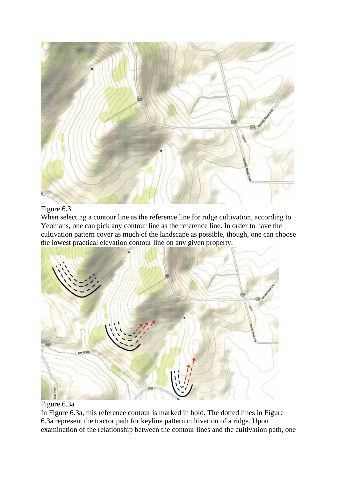

#### Figure 6.3

When selecting a contour line as the reference line for ridge cultivation, according to Yeomans, one can pick any contour line as the reference line. In order to have the cultivation pattern cover as much of the landscape as possible, though, one can choose the lowest practical elevation contour line on any given property.



#### Figure 6.3a

In Figure 6.3a, this reference contour is marked in bold. The dotted lines in Figure 6.3a represent the tractor path for keyline pattern cultivation of a ridge. Upon examination of the relationship between the contour lines and the cultivation path, one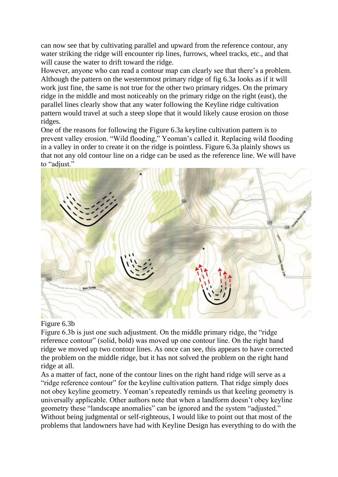can now see that by cultivating parallel and upward from the reference contour, any water striking the ridge will encounter rip lines, furrows, wheel tracks, etc., and that will cause the water to drift toward the ridge.

However, anyone who can read a contour map can clearly see that there's a problem. Although the pattern on the westernmost primary ridge of fig 6.3a looks as if it will work just fine, the same is not true for the other two primary ridges. On the primary ridge in the middle and most noticeably on the primary ridge on the right (east), the parallel lines clearly show that any water following the Keyline ridge cultivation pattern would travel at such a steep slope that it would likely cause erosion on those ridges.

One of the reasons for following the Figure 6.3a keyline cultivation pattern is to prevent valley erosion. "Wild flooding," Yeoman's called it. Replacing wild flooding in a valley in order to create it on the ridge is pointless. Figure 6.3a plainly shows us that not any old contour line on a ridge can be used as the reference line. We will have to "adjust."



#### Figure 6.3b

Figure 6.3b is just one such adjustment. On the middle primary ridge, the "ridge reference contour" (solid, bold) was moved up one contour line. On the right hand ridge we moved up two contour lines. As once can see, this appears to have corrected the problem on the middle ridge, but it has not solved the problem on the right hand ridge at all.

As a matter of fact, none of the contour lines on the right hand ridge will serve as a "ridge reference contour" for the keyline cultivation pattern. That ridge simply does not obey keyline geometry. Yeoman's repeatedly reminds us that keeling geometry is universally applicable. Other authors note that when a landform doesn't obey keyline geometry these "landscape anomalies" can be ignored and the system "adjusted." Without being judgmental or self-righteous, I would like to point out that most of the problems that landowners have had with Keyline Design has everything to do with the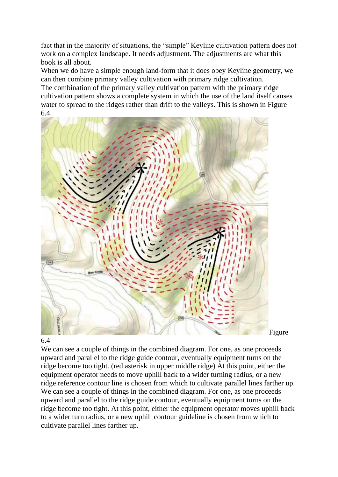fact that in the majority of situations, the "simple" Keyline cultivation pattern does not work on a complex landscape. It needs adjustment. The adjustments are what this book is all about.

When we do have a simple enough land-form that it does obey Keyline geometry, we can then combine primary valley cultivation with primary ridge cultivation. The combination of the primary valley cultivation pattern with the primary ridge cultivation pattern shows a complete system in which the use of the land itself causes water to spread to the ridges rather than drift to the valleys. This is shown in Figure 6.4.



#### 6.4

We can see a couple of things in the combined diagram. For one, as one proceeds upward and parallel to the ridge guide contour, eventually equipment turns on the ridge become too tight. (red asterisk in upper middle ridge) At this point, either the equipment operator needs to move uphill back to a wider turning radius, or a new ridge reference contour line is chosen from which to cultivate parallel lines farther up. We can see a couple of things in the combined diagram. For one, as one proceeds upward and parallel to the ridge guide contour, eventually equipment turns on the ridge become too tight. At this point, either the equipment operator moves uphill back to a wider turn radius, or a new uphill contour guideline is chosen from which to cultivate parallel lines farther up.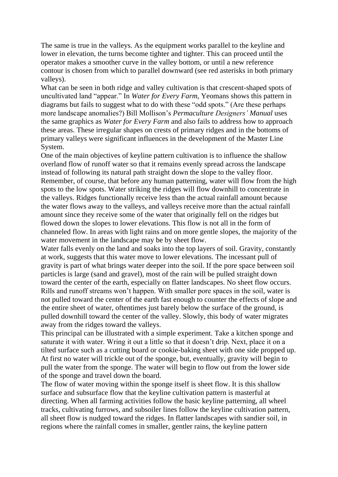The same is true in the valleys. As the equipment works parallel to the keyline and lower in elevation, the turns become tighter and tighter. This can proceed until the operator makes a smoother curve in the valley bottom, or until a new reference contour is chosen from which to parallel downward (see red asterisks in both primary valleys).

What can be seen in both ridge and valley cultivation is that crescent-shaped spots of uncultivated land "appear." In *Water for Every Farm*, Yeomans shows this pattern in diagrams but fails to suggest what to do with these "odd spots." (Are these perhaps more landscape anomalies?) Bill Mollison's *Permaculture Designers' Manual* uses the same graphics as *Water for Every Farm* and also fails to address how to approach these areas. These irregular shapes on crests of primary ridges and in the bottoms of primary valleys were significant influences in the development of the Master Line System.

One of the main objectives of keyline pattern cultivation is to influence the shallow overland flow of runoff water so that it remains evenly spread across the landscape instead of following its natural path straight down the slope to the valley floor. Remember, of course, that before any human patterning, water will flow from the high spots to the low spots. Water striking the ridges will flow downhill to concentrate in the valleys. Ridges functionally receive less than the actual rainfall amount because the water flows away to the valleys, and valleys receive more than the actual rainfall amount since they receive some of the water that originally fell on the ridges but flowed down the slopes to lower elevations. This flow is not all in the form of channeled flow. In areas with light rains and on more gentle slopes, the majority of the water movement in the landscape may be by sheet flow.

Water falls evenly on the land and soaks into the top layers of soil. Gravity, constantly at work, suggests that this water move to lower elevations. The incessant pull of gravity is part of what brings water deeper into the soil. If the pore space between soil particles is large (sand and gravel), most of the rain will be pulled straight down toward the center of the earth, especially on flatter landscapes. No sheet flow occurs. Rills and runoff streams won't happen. With smaller pore spaces in the soil, water is not pulled toward the center of the earth fast enough to counter the effects of slope and the entire sheet of water, oftentimes just barely below the surface of the ground, is pulled downhill toward the center of the valley. Slowly, this body of water migrates away from the ridges toward the valleys.

This principal can be illustrated with a simple experiment. Take a kitchen sponge and saturate it with water. Wring it out a little so that it doesn't drip. Next, place it on a tilted surface such as a cutting board or cookie-baking sheet with one side propped up. At first no water will trickle out of the sponge, but, eventually, gravity will begin to pull the water from the sponge. The water will begin to flow out from the lower side of the sponge and travel down the board.

The flow of water moving within the sponge itself is sheet flow. It is this shallow surface and subsurface flow that the keyline cultivation pattern is masterful at directing. When all farming activities follow the basic keyline patterning, all wheel tracks, cultivating furrows, and subsoiler lines follow the keyline cultivation pattern, all sheet flow is nudged toward the ridges. In flatter landscapes with sandier soil, in regions where the rainfall comes in smaller, gentler rains, the keyline pattern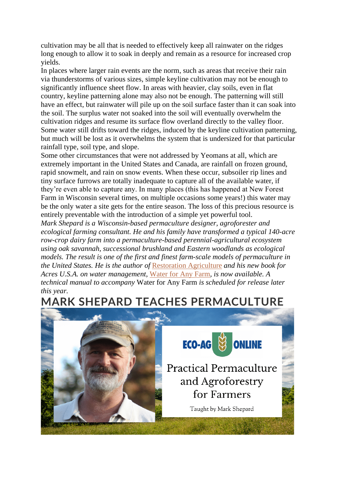cultivation may be all that is needed to effectively keep all rainwater on the ridges long enough to allow it to soak in deeply and remain as a resource for increased crop yields.

In places where larger rain events are the norm, such as areas that receive their rain via thunderstorms of various sizes, simple keyline cultivation may not be enough to significantly influence sheet flow. In areas with heavier, clay soils, even in flat country, keyline patterning alone may also not be enough. The patterning will still have an effect, but rainwater will pile up on the soil surface faster than it can soak into the soil. The surplus water not soaked into the soil will eventually overwhelm the cultivation ridges and resume its surface flow overland directly to the valley floor. Some water still drifts toward the ridges, induced by the keyline cultivation patterning, but much will be lost as it overwhelms the system that is undersized for that particular rainfall type, soil type, and slope.

Some other circumstances that were not addressed by Yeomans at all, which are extremely important in the United States and Canada, are rainfall on frozen ground, rapid snowmelt, and rain on snow events. When these occur, subsoiler rip lines and tiny surface furrows are totally inadequate to capture all of the available water, if they're even able to capture any. In many places (this has happened at New Forest Farm in Wisconsin several times, on multiple occasions some years!) this water may be the only water a site gets for the entire season. The loss of this precious resource is entirely preventable with the introduction of a simple yet powerful tool.

*Mark Shepard is a Wisconsin-based permaculture designer, agroforester and ecological farming consultant. He and his family have transformed a typical 140-acre row-crop dairy farm into a permaculture-based perennial-agricultural ecosystem using oak savannah, successional brushland and Eastern woodlands as ecological models. The result is one of the first and finest farm-scale models of permaculture in the United States. He is the author of* [Restoration](https://bookstore.acresusa.com/products/restoration-agriculture?utm_source=EFD&utm_medium=article&utm_campaign=book-promo-mark-shepard&utm_content=book-excerpt-article) Agriculture *and his new book for Acres U.S.A. on water management,* [Water](https://bookstore.acresusa.com/products/water-for-any-farm?utm_source=EFD&utm_medium=article&utm_campaign=book-promo-mark-shepard&utm_content=book-excerpt-article) for Any Farm*, is now available. A technical manual to accompany* Water for Any Farm *is scheduled for release later this year.*

## **MARK SHEPARD TEACHES PERMACULTURE**